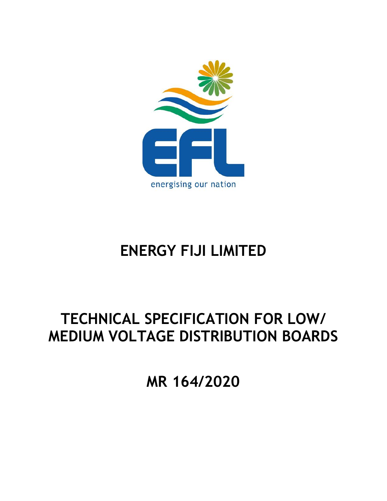

# **ENERGY FIJI LIMITED**

# **TECHNICAL SPECIFICATION FOR LOW/ MEDIUM VOLTAGE DISTRIBUTION BOARDS**

**MR 164/2020**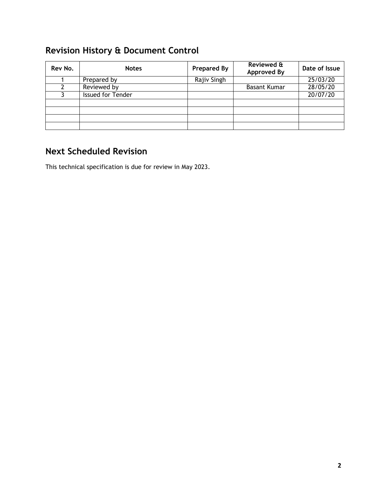# <span id="page-1-0"></span>**Revision History & Document Control**

| Rev No. | <b>Notes</b>      | <b>Prepared By</b> | Reviewed &<br><b>Approved By</b> | Date of Issue |
|---------|-------------------|--------------------|----------------------------------|---------------|
|         | Prepared by       | Rajiv Singh        |                                  | 25/03/20      |
|         | Reviewed by       |                    | <b>Basant Kumar</b>              | 28/05/20      |
|         | Issued for Tender |                    |                                  | 20/07/20      |
|         |                   |                    |                                  |               |
|         |                   |                    |                                  |               |
|         |                   |                    |                                  |               |
|         |                   |                    |                                  |               |

# <span id="page-1-1"></span>**Next Scheduled Revision**

This technical specification is due for review in May 2023.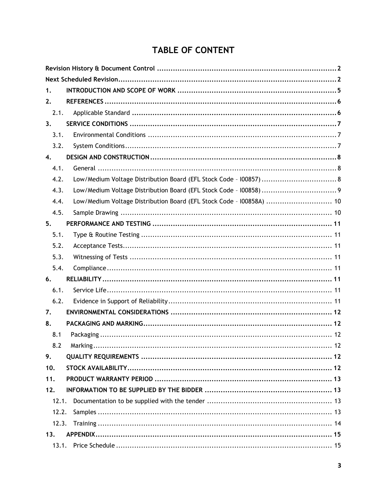# TABLE OF CONTENT

| 1.    |                                                                      |
|-------|----------------------------------------------------------------------|
| 2.    |                                                                      |
| 2.1.  |                                                                      |
| 3.    |                                                                      |
| 3.1.  |                                                                      |
| 3.2.  |                                                                      |
| 4.    |                                                                      |
| 4.1.  |                                                                      |
| 4.2.  | Low/Medium Voltage Distribution Board (EFL Stock Code - 100857)  8   |
| 4.3.  |                                                                      |
| 4.4.  | Low/Medium Voltage Distribution Board (EFL Stock Code - I00858A)  10 |
| 4.5.  |                                                                      |
| 5.    |                                                                      |
| 5.1.  |                                                                      |
| 5.2.  |                                                                      |
| 5.3.  |                                                                      |
| 5.4.  |                                                                      |
| 6.    |                                                                      |
| 6.1.  |                                                                      |
| 6.2.  |                                                                      |
| 7.    |                                                                      |
| 8.    |                                                                      |
| 8.1   |                                                                      |
| 8.2   |                                                                      |
| 9.    |                                                                      |
| 10.   |                                                                      |
| 11.   |                                                                      |
| 12.   |                                                                      |
| 12.1. |                                                                      |
| 12.2. |                                                                      |
| 12.3. |                                                                      |
| 13.   |                                                                      |
|       |                                                                      |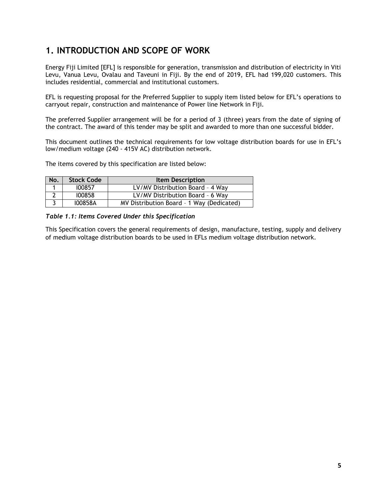# <span id="page-4-0"></span>**1. INTRODUCTION AND SCOPE OF WORK**

Energy Fiji Limited [EFL] is responsible for generation, transmission and distribution of electricity in Viti Levu, Vanua Levu, Ovalau and Taveuni in Fiji. By the end of 2019, EFL had 199,020 customers. This includes residential, commercial and institutional customers.

EFL is requesting proposal for the Preferred Supplier to supply item listed below for EFL's operations to carryout repair, construction and maintenance of Power line Network in Fiji.

The preferred Supplier arrangement will be for a period of 3 (three) years from the date of signing of the contract. The award of this tender may be split and awarded to more than one successful bidder.

This document outlines the technical requirements for low voltage distribution boards for use in EFL's low/medium voltage (240 - 415V AC) distribution network.

The items covered by this specification are listed below:

| No. | <b>Stock Code</b> | <b>Item Description</b>                   |
|-----|-------------------|-------------------------------------------|
|     | 100857            | LV/MV Distribution Board - 4 Way          |
|     | 100858            | LV/MV Distribution Board - 6 Way          |
|     | 100858A           | MV Distribution Board - 1 Way (Dedicated) |

*Table 1.1: Items Covered Under this Specification*

This Specification covers the general requirements of design, manufacture, testing, supply and delivery of medium voltage distribution boards to be used in EFLs medium voltage distribution network.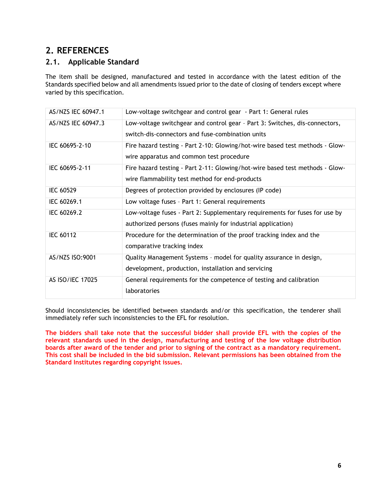# <span id="page-5-0"></span>**2. REFERENCES**

## <span id="page-5-1"></span>**2.1. Applicable Standard**

The item shall be designed, manufactured and tested in accordance with the latest edition of the Standards specified below and all amendments issued prior to the date of closing of tenders except where varied by this specification.

| AS/NZS IEC 60947.1 | Low-voltage switchgear and control gear - Part 1: General rules                                                                 |
|--------------------|---------------------------------------------------------------------------------------------------------------------------------|
| AS/NZS IEC 60947.3 | Low-voltage switchgear and control gear - Part 3: Switches, dis-connectors,<br>switch-dis-connectors and fuse-combination units |
|                    |                                                                                                                                 |
| IEC 60695-2-10     | Fire hazard testing - Part 2-10: Glowing/hot-wire based test methods - Glow-<br>wire apparatus and common test procedure        |
| IEC 60695-2-11     | Fire hazard testing - Part 2-11: Glowing/hot-wire based test methods - Glow-                                                    |
|                    | wire flammability test method for end-products                                                                                  |
| IEC 60529          | Degrees of protection provided by enclosures (IP code)                                                                          |
| IEC 60269.1        | Low voltage fuses - Part 1: General requirements                                                                                |
| IEC 60269.2        | Low-voltage fuses - Part 2: Supplementary requirements for fuses for use by                                                     |
|                    | authorized persons (fuses mainly for industrial application)                                                                    |
| <b>IEC 60112</b>   | Procedure for the determination of the proof tracking index and the                                                             |
|                    | comparative tracking index                                                                                                      |
| AS/NZS ISO:9001    | Quality Management Systems - model for quality assurance in design,                                                             |
|                    | development, production, installation and servicing                                                                             |
| AS ISO/IEC 17025   | General requirements for the competence of testing and calibration                                                              |
|                    | laboratories                                                                                                                    |

Should inconsistencies be identified between standards and/or this specification, the tenderer shall immediately refer such inconsistencies to the EFL for resolution.

**The bidders shall take note that the successful bidder shall provide EFL with the copies of the relevant standards used in the design, manufacturing and testing of the low voltage distribution boards after award of the tender and prior to signing of the contract as a mandatory requirement. This cost shall be included in the bid submission. Relevant permissions has been obtained from the Standard Institutes regarding copyright issues.**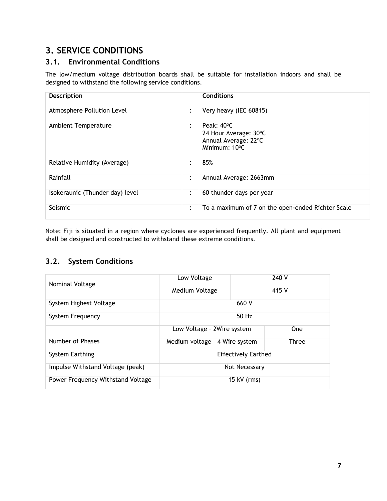# <span id="page-6-0"></span>**3. SERVICE CONDITIONS**

## <span id="page-6-1"></span>**3.1. Environmental Conditions**

The low/medium voltage distribution boards shall be suitable for installation indoors and shall be designed to withstand the following service conditions.

| Description                     |                        | <b>Conditions</b>                                                            |
|---------------------------------|------------------------|------------------------------------------------------------------------------|
| Atmosphere Pollution Level      | :                      | Very heavy (IEC 60815)                                                       |
| Ambient Temperature             | $\ddot{\cdot}$         | Peak: 40°C<br>24 Hour Average: 30°C<br>Annual Average: 22°C<br>Minimum: 10°C |
| Relative Humidity (Average)     | $\bullet$<br>$\bullet$ | 85%                                                                          |
| Rainfall                        | $\ddot{\cdot}$         | Annual Average: 2663mm                                                       |
| Isokeraunic (Thunder day) level | :                      | 60 thunder days per year                                                     |
| Seismic                         | :                      | To a maximum of 7 on the open-ended Richter Scale                            |

Note: Fiji is situated in a region where cyclones are experienced frequently. All plant and equipment shall be designed and constructed to withstand these extreme conditions.

## <span id="page-6-2"></span>**3.2. System Conditions**

| Nominal Voltage                   | Low Voltage                    |       | 240 V        |  |
|-----------------------------------|--------------------------------|-------|--------------|--|
|                                   | Medium Voltage                 | 415 V |              |  |
| System Highest Voltage            | 660 V                          |       |              |  |
| System Frequency                  | $50$ Hz                        |       |              |  |
|                                   | Low Voltage - 2Wire system     |       | <b>One</b>   |  |
| Number of Phases                  | Medium voltage - 4 Wire system |       | <b>Three</b> |  |
| System Earthing                   | <b>Effectively Earthed</b>     |       |              |  |
| Impulse Withstand Voltage (peak)  | Not Necessary                  |       |              |  |
| Power Frequency Withstand Voltage | 15 kV (rms)                    |       |              |  |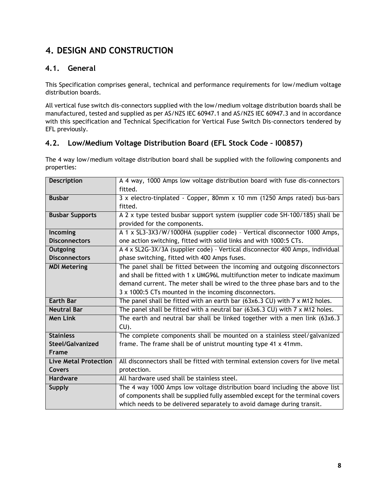# <span id="page-7-0"></span>**4. DESIGN AND CONSTRUCTION**

## <span id="page-7-1"></span>**4.1. General**

This Specification comprises general, technical and performance requirements for low/medium voltage distribution boards.

All vertical fuse switch dis-connectors supplied with the low/medium voltage distribution boards shall be manufactured, tested and supplied as per AS/NZS IEC 60947.1 and AS/NZS IEC 60947.3 and in accordance with this specification and Technical Specification for Vertical Fuse Switch Dis-connectors tendered by EFL previously.

## <span id="page-7-2"></span>**4.2. Low/Medium Voltage Distribution Board (EFL Stock Code – I00857)**

The 4 way low/medium voltage distribution board shall be supplied with the following components and properties:

| <b>Description</b>           | A 4 way, 1000 Amps low voltage distribution board with fuse dis-connectors<br>fitted.                       |  |
|------------------------------|-------------------------------------------------------------------------------------------------------------|--|
| <b>Busbar</b>                | 3 x electro-tinplated - Copper, 80mm x 10 mm (1250 Amps rated) bus-bars<br>fitted.                          |  |
| <b>Busbar Supports</b>       | A 2 x type tested busbar support system (supplier code SH-100/185) shall be<br>provided for the components. |  |
| Incoming                     | A 1 x SL3-3X3/W/1000HA (supplier code) - Vertical disconnector 1000 Amps,                                   |  |
| <b>Disconnectors</b>         | one action switching, fitted with solid links and with 1000:5 CTs.                                          |  |
| Outgoing                     | A 4 x SL2G-3X/3A (supplier code) - Vertical disconnector 400 Amps, individual                               |  |
| <b>Disconnectors</b>         | phase switching, fitted with 400 Amps fuses.                                                                |  |
| <b>MDI Metering</b>          | The panel shall be fitted between the incoming and outgoing disconnectors                                   |  |
|                              | and shall be fitted with 1 x UMG96L multifunction meter to indicate maximum                                 |  |
|                              | demand current. The meter shall be wired to the three phase bars and to the                                 |  |
|                              | 3 x 1000:5 CTs mounted in the incoming disconnectors.                                                       |  |
| <b>Earth Bar</b>             | The panel shall be fitted with an earth bar $(63x6.3 \text{ CU})$ with $7 \times M12$ holes.                |  |
| <b>Neutral Bar</b>           | The panel shall be fitted with a neutral bar $(63x6.3 \text{ CU})$ with $7 \times M12$ holes.               |  |
| <b>Men Link</b>              | The earth and neutral bar shall be linked together with a men link (63x6.3<br>CU).                          |  |
| <b>Stainless</b>             | The complete components shall be mounted on a stainless steel/galvanized                                    |  |
| Steel/Galvanized             | frame. The frame shall be of unistrut mounting type 41 x 41mm.                                              |  |
| Frame                        |                                                                                                             |  |
| <b>Live Metal Protection</b> | All disconnectors shall be fitted with terminal extension covers for live metal                             |  |
| Covers                       | protection.                                                                                                 |  |
| <b>Hardware</b>              | All hardware used shall be stainless steel.                                                                 |  |
| <b>Supply</b>                | The 4 way 1000 Amps low voltage distribution board including the above list                                 |  |
|                              | of components shall be supplied fully assembled except for the terminal covers                              |  |
|                              | which needs to be delivered separately to avoid damage during transit.                                      |  |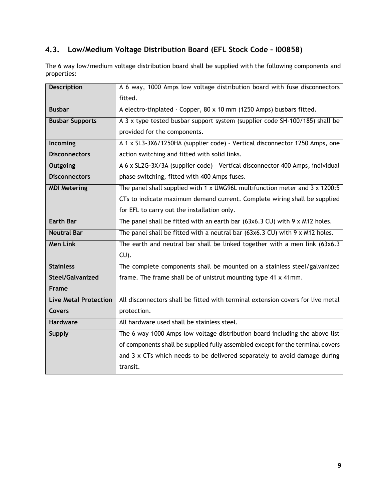## <span id="page-8-0"></span>**4.3. Low/Medium Voltage Distribution Board (EFL Stock Code – I00858)**

The 6 way low/medium voltage distribution board shall be supplied with the following components and properties:

| <b>Description</b>           | A 6 way, 1000 Amps low voltage distribution board with fuse disconnectors              |  |  |
|------------------------------|----------------------------------------------------------------------------------------|--|--|
|                              | fitted.                                                                                |  |  |
| <b>Busbar</b>                | A electro-tinplated - Copper, 80 x 10 mm (1250 Amps) busbars fitted.                   |  |  |
| <b>Busbar Supports</b>       | A 3 x type tested busbar support system (supplier code SH-100/185) shall be            |  |  |
|                              | provided for the components.                                                           |  |  |
| <b>Incoming</b>              | A 1 x SL3-3X6/1250HA (supplier code) - Vertical disconnector 1250 Amps, one            |  |  |
| <b>Disconnectors</b>         | action switching and fitted with solid links.                                          |  |  |
| Outgoing                     | A 6 x SL2G-3X/3A (supplier code) - Vertical disconnector 400 Amps, individual          |  |  |
| <b>Disconnectors</b>         | phase switching, fitted with 400 Amps fuses.                                           |  |  |
| <b>MDI Metering</b>          | The panel shall supplied with 1 x UMG96L multifunction meter and $3 \times 1200:5$     |  |  |
|                              | CTs to indicate maximum demand current. Complete wiring shall be supplied              |  |  |
|                              | for EFL to carry out the installation only.                                            |  |  |
| <b>Earth Bar</b>             | The panel shall be fitted with an earth bar $(63x6.3 \text{ CU})$ with 9 x M12 holes.  |  |  |
| <b>Neutral Bar</b>           | The panel shall be fitted with a neutral bar $(63x6.3 \text{ CU})$ with 9 x M12 holes. |  |  |
| <b>Men Link</b>              | The earth and neutral bar shall be linked together with a men link (63x6.3)            |  |  |
|                              | $CU$ ).                                                                                |  |  |
| <b>Stainless</b>             | The complete components shall be mounted on a stainless steel/galvanized               |  |  |
| Steel/Galvanized             | frame. The frame shall be of unistrut mounting type 41 x 41mm.                         |  |  |
| <b>Frame</b>                 |                                                                                        |  |  |
| <b>Live Metal Protection</b> | All disconnectors shall be fitted with terminal extension covers for live metal        |  |  |
| <b>Covers</b>                | protection.                                                                            |  |  |
| <b>Hardware</b>              | All hardware used shall be stainless steel.                                            |  |  |
| <b>Supply</b>                | The 6 way 1000 Amps low voltage distribution board including the above list            |  |  |
|                              | of components shall be supplied fully assembled except for the terminal covers         |  |  |
|                              | and 3 x CTs which needs to be delivered separately to avoid damage during              |  |  |
|                              | transit.                                                                               |  |  |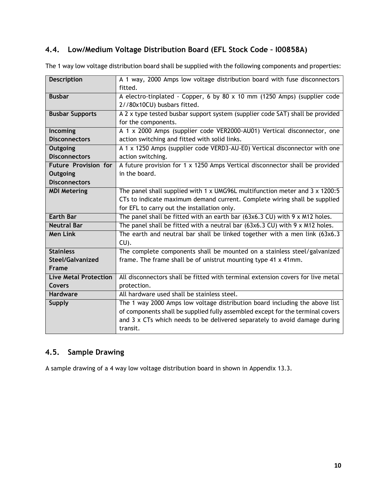## <span id="page-9-0"></span>**4.4. Low/Medium Voltage Distribution Board (EFL Stock Code – I00858A)**

| <b>Description</b>           | A 1 way, 2000 Amps low voltage distribution board with fuse disconnectors             |
|------------------------------|---------------------------------------------------------------------------------------|
|                              | fitted.                                                                               |
| <b>Busbar</b>                | A electro-tinplated - Copper, 6 by 80 x 10 mm (1250 Amps) (supplier code              |
|                              | 2//80x10CU) busbars fitted.                                                           |
| <b>Busbar Supports</b>       | A 2 x type tested busbar support system (supplier code SAT) shall be provided         |
|                              | for the components.                                                                   |
| Incoming                     | A 1 x 2000 Amps (supplier code VER2000-AU01) Vertical disconnector, one               |
| <b>Disconnectors</b>         | action switching and fitted with solid links.                                         |
| Outgoing                     | A 1 x 1250 Amps (supplier code VERD3-AU-E0) Vertical disconnector with one            |
| <b>Disconnectors</b>         | action switching.                                                                     |
| <b>Future Provision for</b>  | A future provision for 1 x 1250 Amps Vertical disconnector shall be provided          |
| Outgoing                     | in the board.                                                                         |
| <b>Disconnectors</b>         |                                                                                       |
| <b>MDI Metering</b>          | The panel shall supplied with 1 x UMG96L multifunction meter and $3 \times 1200:5$    |
|                              | CTs to indicate maximum demand current. Complete wiring shall be supplied             |
|                              | for EFL to carry out the installation only.                                           |
| <b>Earth Bar</b>             | The panel shall be fitted with an earth bar $(63x6.3 \text{ CU})$ with 9 x M12 holes. |
| <b>Neutral Bar</b>           | The panel shall be fitted with a neutral bar (63x6.3 CU) with $9 \times M12$ holes.   |
| <b>Men Link</b>              | The earth and neutral bar shall be linked together with a men link (63x6.3)           |
|                              | $CU$ ).                                                                               |
| <b>Stainless</b>             | The complete components shall be mounted on a stainless steel/galvanized              |
| Steel/Galvanized             | frame. The frame shall be of unistrut mounting type 41 x 41mm.                        |
| Frame                        |                                                                                       |
| <b>Live Metal Protection</b> | All disconnectors shall be fitted with terminal extension covers for live metal       |
| <b>Covers</b>                | protection.                                                                           |
| <b>Hardware</b>              | All hardware used shall be stainless steel.                                           |
| <b>Supply</b>                | The 1 way 2000 Amps low voltage distribution board including the above list           |
|                              | of components shall be supplied fully assembled except for the terminal covers        |
|                              | and 3 x CTs which needs to be delivered separately to avoid damage during             |
|                              | transit.                                                                              |

The 1 way low voltage distribution board shall be supplied with the following components and properties:

## <span id="page-9-1"></span>**4.5. Sample Drawing**

A sample drawing of a 4 way low voltage distribution board in shown in Appendix 13.3.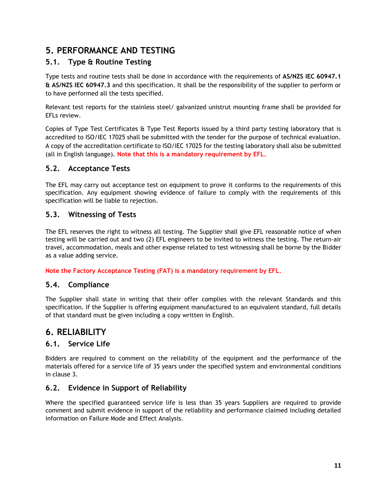# <span id="page-10-0"></span>**5. PERFORMANCE AND TESTING**

## <span id="page-10-1"></span>**5.1. Type & Routine Testing**

Type tests and routine tests shall be done in accordance with the requirements of **AS/NZS IEC 60947.1 & AS/NZS IEC 60947.3** and this specification. It shall be the responsibility of the supplier to perform or to have performed all the tests specified.

Relevant test reports for the stainless steel/ galvanized unistrut mounting frame shall be provided for EFLs review.

Copies of Type Test Certificates & Type Test Reports issued by a third party testing laboratory that is accredited to ISO/IEC 17025 shall be submitted with the tender for the purpose of technical evaluation. A copy of the accreditation certificate to ISO/IEC 17025 for the testing laboratory shall also be submitted (all in English language). **Note that this is a mandatory requirement by EFL.**

#### <span id="page-10-2"></span>**5.2. Acceptance Tests**

The EFL may carry out acceptance test on equipment to prove it conforms to the requirements of this specification. Any equipment showing evidence of failure to comply with the requirements of this specification will be liable to rejection.

#### <span id="page-10-3"></span>**5.3. Witnessing of Tests**

The EFL reserves the right to witness all testing. The Supplier shall give EFL reasonable notice of when testing will be carried out and two (2) EFL engineers to be invited to witness the testing. The return-air travel, accommodation, meals and other expense related to test witnessing shall be borne by the Bidder as a value adding service.

#### **Note the Factory Acceptance Testing (FAT) is a mandatory requirement by EFL.**

#### <span id="page-10-4"></span>**5.4. Compliance**

The Supplier shall state in writing that their offer complies with the relevant Standards and this specification. If the Supplier is offering equipment manufactured to an equivalent standard, full details of that standard must be given including a copy written in English.

## <span id="page-10-5"></span>**6. RELIABILITY**

#### <span id="page-10-6"></span>**6.1. Service Life**

Bidders are required to comment on the reliability of the equipment and the performance of the materials offered for a service life of 35 years under the specified system and environmental conditions in clause 3.

## <span id="page-10-7"></span>**6.2. Evidence in Support of Reliability**

Where the specified guaranteed service life is less than 35 years Suppliers are required to provide comment and submit evidence in support of the reliability and performance claimed including detailed information on Failure Mode and Effect Analysis.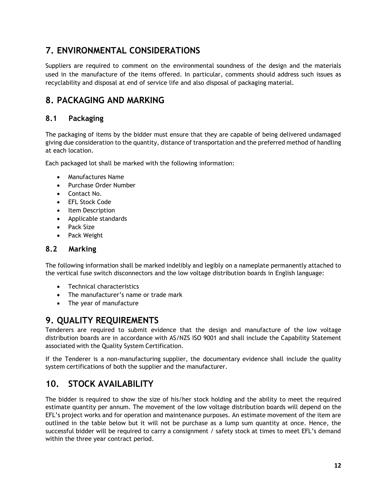# <span id="page-11-0"></span>**7. ENVIRONMENTAL CONSIDERATIONS**

Suppliers are required to comment on the environmental soundness of the design and the materials used in the manufacture of the items offered. In particular, comments should address such issues as recyclability and disposal at end of service life and also disposal of packaging material.

# <span id="page-11-1"></span>**8. PACKAGING AND MARKING**

## <span id="page-11-2"></span>**8.1 Packaging**

The packaging of items by the bidder must ensure that they are capable of being delivered undamaged giving due consideration to the quantity, distance of transportation and the preferred method of handling at each location.

Each packaged lot shall be marked with the following information:

- Manufactures Name
- Purchase Order Number
- Contact No.
- EFL Stock Code
- Item Description
- Applicable standards
- Pack Size
- Pack Weight

#### <span id="page-11-3"></span>**8.2 Marking**

The following information shall be marked indelibly and legibly on a nameplate permanently attached to the vertical fuse switch disconnectors and the low voltage distribution boards in English language:

- Technical characteristics
- The manufacturer's name or trade mark
- The year of manufacture

## <span id="page-11-4"></span>**9. QUALITY REQUIREMENTS**

Tenderers are required to submit evidence that the design and manufacture of the low voltage distribution boards are in accordance with AS/NZS ISO 9001 and shall include the Capability Statement associated with the Quality System Certification.

If the Tenderer is a non-manufacturing supplier, the documentary evidence shall include the quality system certifications of both the supplier and the manufacturer.

## <span id="page-11-5"></span>**10. STOCK AVAILABILITY**

The bidder is required to show the size of his/her stock holding and the ability to meet the required estimate quantity per annum. The movement of the low voltage distribution boards will depend on the EFL's project works and for operation and maintenance purposes. An estimate movement of the item are outlined in the table below but it will not be purchase as a lump sum quantity at once. Hence, the successful bidder will be required to carry a consignment / safety stock at times to meet EFL's demand within the three year contract period.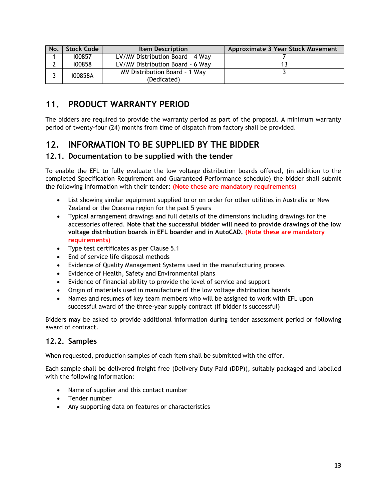| No. | <b>Stock Code</b> | <b>Item Description</b>                      | Approximate 3 Year Stock Movement |
|-----|-------------------|----------------------------------------------|-----------------------------------|
|     | 100857            | LV/MV Distribution Board - 4 Way             |                                   |
|     | 100858            | LV/MV Distribution Board - 6 Way             |                                   |
|     | 100858A           | MV Distribution Board - 1 Way<br>(Dedicated) |                                   |

# <span id="page-12-0"></span>**11. PRODUCT WARRANTY PERIOD**

The bidders are required to provide the warranty period as part of the proposal. A minimum warranty period of twenty-four (24) months from time of dispatch from factory shall be provided.

## <span id="page-12-1"></span>**12. INFORMATION TO BE SUPPLIED BY THE BIDDER**

#### <span id="page-12-2"></span>**12.1. Documentation to be supplied with the tender**

To enable the EFL to fully evaluate the low voltage distribution boards offered, (in addition to the completed Specification Requirement and Guaranteed Performance schedule) the bidder shall submit the following information with their tender: **(Note these are mandatory requirements)**

- List showing similar equipment supplied to or on order for other utilities in Australia or New Zealand or the Oceania region for the past 5 years
- Typical arrangement drawings and full details of the dimensions including drawings for the accessories offered. **Note that the successful bidder will need to provide drawings of the low voltage distribution boards in EFL boarder and in AutoCAD. (Note these are mandatory requirements)**
- Type test certificates as per Clause 5.1
- End of service life disposal methods
- Evidence of Quality Management Systems used in the manufacturing process
- Evidence of Health, Safety and Environmental plans
- Evidence of financial ability to provide the level of service and support
- Origin of materials used in manufacture of the low voltage distribution boards
- Names and resumes of key team members who will be assigned to work with EFL upon successful award of the three-year supply contract (if bidder is successful)

Bidders may be asked to provide additional information during tender assessment period or following award of contract.

#### <span id="page-12-3"></span>**12.2. Samples**

When requested, production samples of each item shall be submitted with the offer.

Each sample shall be delivered freight free (Delivery Duty Paid (DDP)), suitably packaged and labelled with the following information:

- Name of supplier and this contact number
- Tender number
- Any supporting data on features or characteristics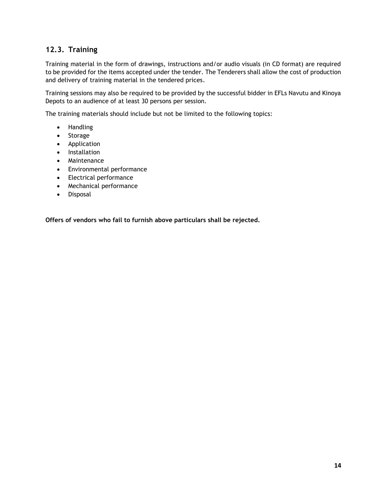### <span id="page-13-0"></span>**12.3. Training**

Training material in the form of drawings, instructions and/or audio visuals (in CD format) are required to be provided for the items accepted under the tender. The Tenderers shall allow the cost of production and delivery of training material in the tendered prices.

Training sessions may also be required to be provided by the successful bidder in EFLs Navutu and Kinoya Depots to an audience of at least 30 persons per session.

The training materials should include but not be limited to the following topics:

- Handling
- Storage
- Application
- Installation
- Maintenance
- Environmental performance
- Electrical performance
- Mechanical performance
- Disposal

**Offers of vendors who fail to furnish above particulars shall be rejected.**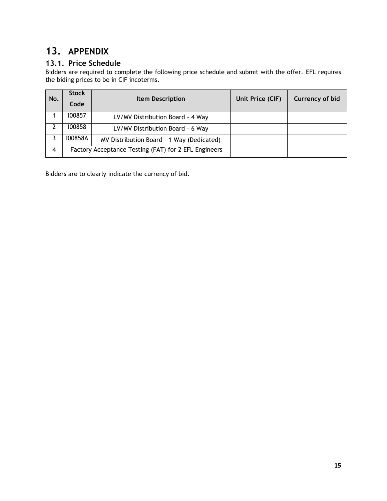# <span id="page-14-0"></span>**13. APPENDIX**

## <span id="page-14-1"></span>**13.1. Price Schedule**

Bidders are required to complete the following price schedule and submit with the offer. EFL requires the biding prices to be in CIF incoterms.

| No. | <b>Stock</b> | <b>Item Description</b>                              | Unit Price (CIF) | <b>Currency of bid</b> |
|-----|--------------|------------------------------------------------------|------------------|------------------------|
|     | Code         |                                                      |                  |                        |
|     | 100857       | LV/MV Distribution Board - 4 Way                     |                  |                        |
|     | 100858       | LV/MV Distribution Board - 6 Way                     |                  |                        |
|     | 100858A      | MV Distribution Board - 1 Way (Dedicated)            |                  |                        |
| 4   |              | Factory Acceptance Testing (FAT) for 2 EFL Engineers |                  |                        |

Bidders are to clearly indicate the currency of bid.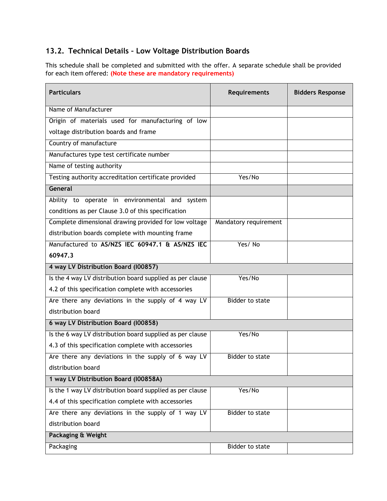## <span id="page-15-0"></span>**13.2. Technical Details – Low Voltage Distribution Boards**

This schedule shall be completed and submitted with the offer. A separate schedule shall be provided for each item offered: **(Note these are mandatory requirements)**

| <b>Particulars</b>                                        | <b>Requirements</b>    | <b>Bidders Response</b> |
|-----------------------------------------------------------|------------------------|-------------------------|
| Name of Manufacturer                                      |                        |                         |
| Origin of materials used for manufacturing of low         |                        |                         |
| voltage distribution boards and frame                     |                        |                         |
| Country of manufacture                                    |                        |                         |
| Manufactures type test certificate number                 |                        |                         |
| Name of testing authority                                 |                        |                         |
| Testing authority accreditation certificate provided      | Yes/No                 |                         |
| General                                                   |                        |                         |
| Ability to operate in environmental and system            |                        |                         |
| conditions as per Clause 3.0 of this specification        |                        |                         |
| Complete dimensional drawing provided for low voltage     | Mandatory requirement  |                         |
| distribution boards complete with mounting frame          |                        |                         |
| Manufactured to AS/NZS IEC 60947.1 & AS/NZS IEC           | Yes/No                 |                         |
| 60947.3                                                   |                        |                         |
| 4 way LV Distribution Board (I00857)                      |                        |                         |
| Is the 4 way LV distribution board supplied as per clause | Yes/No                 |                         |
| 4.2 of this specification complete with accessories       |                        |                         |
| Are there any deviations in the supply of 4 way LV        | <b>Bidder to state</b> |                         |
| distribution board                                        |                        |                         |
| 6 way LV Distribution Board (I00858)                      |                        |                         |
| Is the 6 way LV distribution board supplied as per clause | Yes/No                 |                         |
| 4.3 of this specification complete with accessories       |                        |                         |
| Are there any deviations in the supply of 6 way LV        | <b>Bidder to state</b> |                         |
| distribution board                                        |                        |                         |
| 1 way LV Distribution Board (I00858A)                     |                        |                         |
| Is the 1 way LV distribution board supplied as per clause | Yes/No                 |                         |
| 4.4 of this specification complete with accessories       |                        |                         |
| Are there any deviations in the supply of 1 way LV        | Bidder to state        |                         |
| distribution board                                        |                        |                         |
| Packaging & Weight                                        |                        |                         |
| Packaging                                                 | Bidder to state        |                         |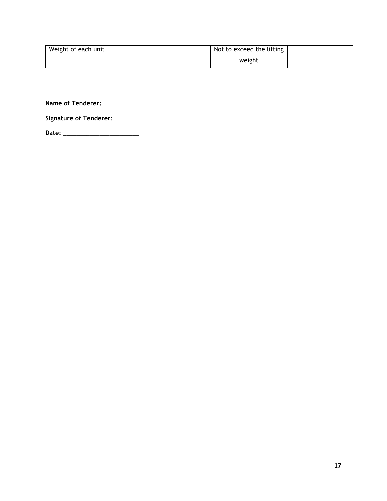| Weight of each unit | Not to exceed the lifting |  |
|---------------------|---------------------------|--|
|                     | weight                    |  |

**Name of Tenderer:** \_\_\_\_\_\_\_\_\_\_\_\_\_\_\_\_\_\_\_\_\_\_\_\_\_\_\_\_\_\_\_\_\_\_\_\_\_

**Signature of Tenderer**: \_\_\_\_\_\_\_\_\_\_\_\_\_\_\_\_\_\_\_\_\_\_\_\_\_\_\_\_\_\_\_\_\_\_\_\_\_\_

**Date:** \_\_\_\_\_\_\_\_\_\_\_\_\_\_\_\_\_\_\_\_\_\_\_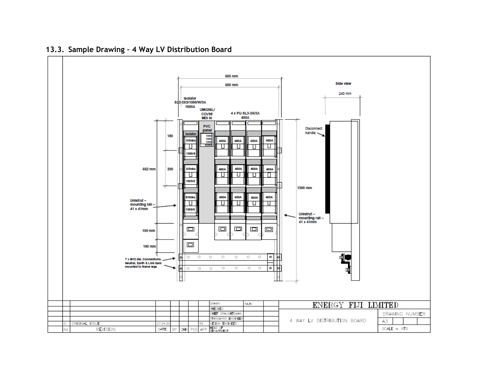<span id="page-17-0"></span>

#### **13.3. Sample Drawing – 4 Way LV Distribution Board**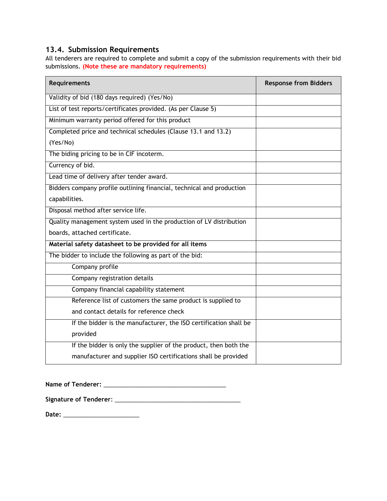## <span id="page-18-0"></span>**13.4. Submission Requirements**

All tenderers are required to complete and submit a copy of the submission requirements with their bid submissions. **(Note these are mandatory requirements)**

| <b>Requirements</b>                                                   | <b>Response from Bidders</b> |
|-----------------------------------------------------------------------|------------------------------|
| Validity of bid (180 days required) (Yes/No)                          |                              |
| List of test reports/certificates provided. (As per Clause 5)         |                              |
| Minimum warranty period offered for this product                      |                              |
| Completed price and technical schedules (Clause 13.1 and 13.2)        |                              |
| (Yes/No)                                                              |                              |
| The biding pricing to be in CIF incoterm.                             |                              |
| Currency of bid.                                                      |                              |
| Lead time of delivery after tender award.                             |                              |
| Bidders company profile outlining financial, technical and production |                              |
| capabilities.                                                         |                              |
| Disposal method after service life.                                   |                              |
| Quality management system used in the production of LV distribution   |                              |
| boards, attached certificate.                                         |                              |
| Material safety datasheet to be provided for all items                |                              |
| The bidder to include the following as part of the bid:               |                              |
| Company profile                                                       |                              |
| Company registration details                                          |                              |
| Company financial capability statement                                |                              |
| Reference list of customers the same product is supplied to           |                              |
| and contact details for reference check                               |                              |
| If the bidder is the manufacturer, the ISO certification shall be     |                              |
| provided                                                              |                              |
| If the bidder is only the supplier of the product, then both the      |                              |
| manufacturer and supplier ISO certifications shall be provided        |                              |

| <b>Name of Tenderer:</b> |  |
|--------------------------|--|
|--------------------------|--|

**Signature of Tenderer**: \_\_\_\_\_\_\_\_\_\_\_\_\_\_\_\_\_\_\_\_\_\_\_\_\_\_\_\_\_\_\_\_\_\_\_\_\_\_

**Date:** \_\_\_\_\_\_\_\_\_\_\_\_\_\_\_\_\_\_\_\_\_\_\_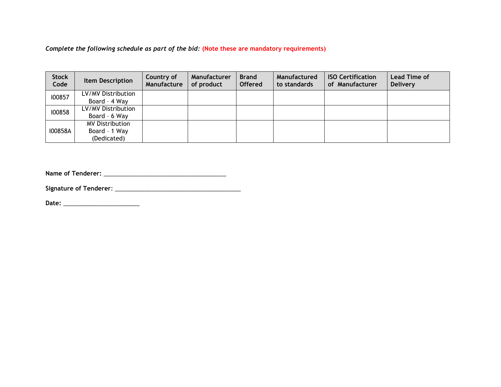*Complete the following schedule as part of the bid:* **(Note these are mandatory requirements)**

| <b>Stock</b><br>Code | <b>Item Description</b> | Country of<br>Manufacture | Manufacturer<br>of product | <b>Brand</b><br><b>Offered</b> | Manufactured<br>to standards | <b>ISO Certification</b><br>of Manufacturer | <b>Lead Time of</b><br><b>Delivery</b> |
|----------------------|-------------------------|---------------------------|----------------------------|--------------------------------|------------------------------|---------------------------------------------|----------------------------------------|
| 100857               | LV/MV Distribution      |                           |                            |                                |                              |                                             |                                        |
|                      | Board - 4 Way           |                           |                            |                                |                              |                                             |                                        |
| 100858               | LV/MV Distribution      |                           |                            |                                |                              |                                             |                                        |
|                      | Board - 6 Way           |                           |                            |                                |                              |                                             |                                        |
| 100858A              | <b>MV Distribution</b>  |                           |                            |                                |                              |                                             |                                        |
|                      | Board - 1 Way           |                           |                            |                                |                              |                                             |                                        |
|                      | (Dedicated)             |                           |                            |                                |                              |                                             |                                        |

**Name of Tenderer:** \_\_\_\_\_\_\_\_\_\_\_\_\_\_\_\_\_\_\_\_\_\_\_\_\_\_\_\_\_\_\_\_\_\_\_\_\_

**Signature of Tenderer**: \_\_\_\_\_\_\_\_\_\_\_\_\_\_\_\_\_\_\_\_\_\_\_\_\_\_\_\_\_\_\_\_\_\_\_\_\_\_

**Date:** \_\_\_\_\_\_\_\_\_\_\_\_\_\_\_\_\_\_\_\_\_\_\_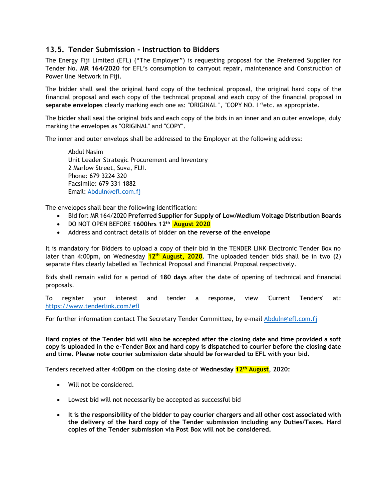#### <span id="page-20-0"></span>**13.5. Tender Submission - Instruction to Bidders**

The Energy Fiji Limited (EFL) ("The Employer") is requesting proposal for the Preferred Supplier for Tender No. **MR 164/2020** for EFL's consumption to carryout repair, maintenance and Construction of Power line Network in Fiji.

The bidder shall seal the original hard copy of the technical proposal, the original hard copy of the financial proposal and each copy of the technical proposal and each copy of the financial proposal in **separate envelopes** clearly marking each one as: "ORIGINAL ", "COPY NO. I "etc. as appropriate.

The bidder shall seal the original bids and each copy of the bids in an inner and an outer envelope, duly marking the envelopes as "ORIGINAL" and "COPY".

The inner and outer envelops shall be addressed to the Employer at the following address:

Abdul Nasim Unit Leader Strategic Procurement and Inventory 2 Marlow Street, Suva, FIJI. Phone: 679 3224 320 Facsimile: 679 331 1882 Email: [Abduln@efl.com.fj](mailto:Abduln@efl.com.fj)

The envelopes shall bear the following identification:

- Bid for: MR 164/2020 **Preferred Supplier for Supply of Low/Medium Voltage Distribution Boards**
- DO NOT OPEN BEFORE **1600hrs 12th August 2020**
- Address and contract details of bidder **on the reverse of the envelope**

It is mandatory for Bidders to upload a copy of their bid in the TENDER LINK Electronic Tender Box no later than 4:00pm, on Wednesday **12th August, 2020**. The uploaded tender bids shall be in two (2) separate files clearly labelled as Technical Proposal and Financial Proposal respectively.

Bids shall remain valid for a period of **180 days** after the date of opening of technical and financial proposals.

To register your interest and tender a response, view 'Current Tenders' at: <https://www.tenderlink.com/efl>

For further information contact The Secretary Tender Committee, by e-mail [Abduln@efl.com.fj](mailto:Abduln@efl.com.fj)

**Hard copies of the Tender bid will also be accepted after the closing date and time provided a soft copy is uploaded in the e-Tender Box and hard copy is dispatched to courier before the closing date and time. Please note courier submission date should be forwarded to EFL with your bid.** 

Tenders received after **4:00pm** on the closing date of **Wednesday 12th August, 2020:**

- Will not be considered.
- Lowest bid will not necessarily be accepted as successful bid
- **It is the responsibility of the bidder to pay courier chargers and all other cost associated with the delivery of the hard copy of the Tender submission including any Duties/Taxes. Hard copies of the Tender submission via Post Box will not be considered.**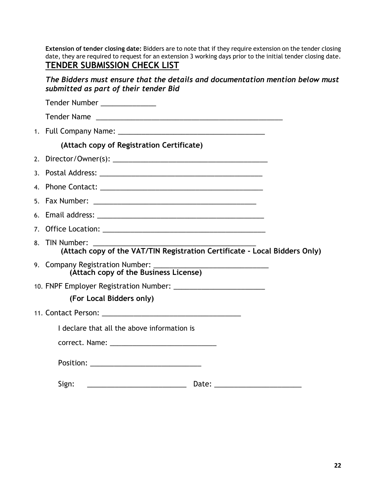**Extension of tender closing date:** Bidders are to note that if they require extension on the tender closing date, they are required to request for an extension 3 working days prior to the initial tender closing date. **TENDER SUBMISSION CHECK LIST**

*The Bidders must ensure that the details and documentation mention below must submitted as part of their tender Bid*

| Tender Number ______________                                                                 |
|----------------------------------------------------------------------------------------------|
| Tender Name                                                                                  |
|                                                                                              |
| (Attach copy of Registration Certificate)                                                    |
|                                                                                              |
|                                                                                              |
|                                                                                              |
|                                                                                              |
|                                                                                              |
|                                                                                              |
| 8. TIN Number:<br>(Attach copy of the VAT/TIN Registration Certificate - Local Bidders Only) |
| 9. Company Registration Number: _______<br>(Attach copy of the Business License)             |
|                                                                                              |
| (For Local Bidders only)                                                                     |
|                                                                                              |
| I declare that all the above information is                                                  |
|                                                                                              |
|                                                                                              |
| Sign:<br>Date:                                                                               |